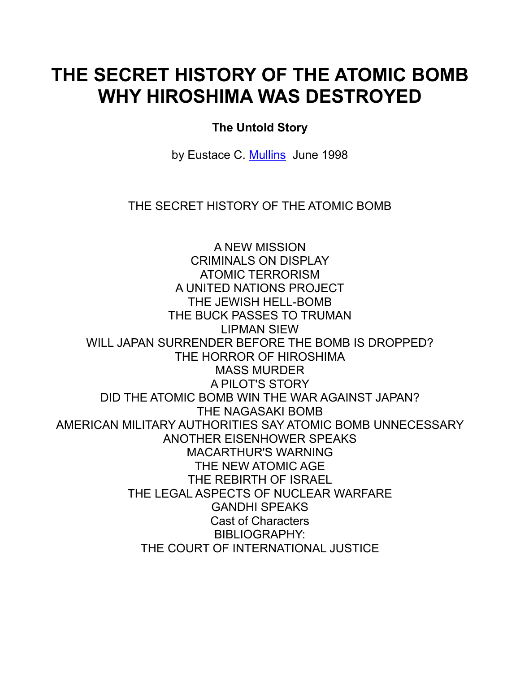# **THE SECRET HISTORY OF THE ATOMIC BOMB WHY HIROSHIMA WAS DESTROYED**

#### **The Untold Story**

by Eustace C. [Mullins](http://www.whale.to/b/mullins_h.html) June 1998

THE SECRET HISTORY OF THE ATOMIC BOMB

A NEW MISSION CRIMINALS ON DISPLAY ATOMIC TERRORISM A UNITED NATIONS PROJECT THE JEWISH HELL-BOMB THE BUCK PASSES TO TRUMAN LIPMAN SIEW WILL JAPAN SURRENDER BEFORE THE BOMB IS DROPPED? THE HORROR OF HIROSHIMA MASS MURDER A PILOT'S STORY DID THE ATOMIC BOMB WIN THE WAR AGAINST JAPAN? THE NAGASAKI BOMB AMERICAN MILITARY AUTHORITIES SAY ATOMIC BOMB UNNECESSARY ANOTHER EISENHOWER SPEAKS MACARTHUR'S WARNING THE NEW ATOMIC AGE THE REBIRTH OF ISRAEL THE LEGAL ASPECTS OF NUCLEAR WARFARE GANDHI SPEAKS Cast of Characters BIBLIOGRAPHY: THE COURT OF INTERNATIONAL JUSTICE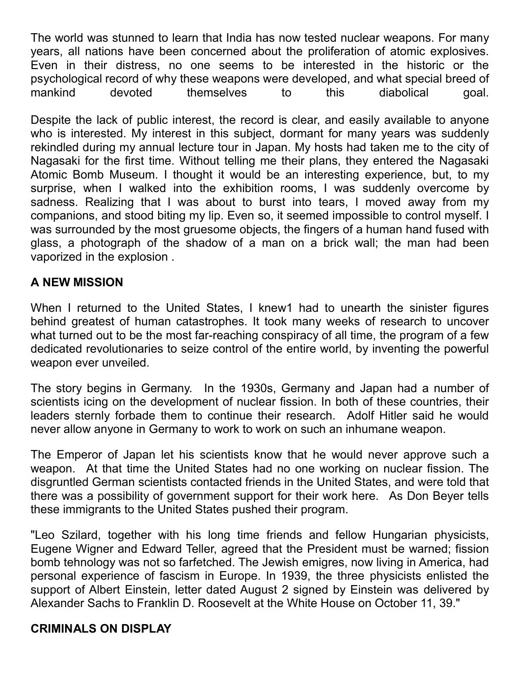The world was stunned to learn that India has now tested nuclear weapons. For many years, all nations have been concerned about the proliferation of atomic explosives. Even in their distress, no one seems to be interested in the historic or the psychological record of why these weapons were developed, and what special breed of mankind devoted themselves to this diabolical goal.

Despite the lack of public interest, the record is clear, and easily available to anyone who is interested. My interest in this subject, dormant for many years was suddenly rekindled during my annual lecture tour in Japan. My hosts had taken me to the city of Nagasaki for the first time. Without telling me their plans, they entered the Nagasaki Atomic Bomb Museum. I thought it would be an interesting experience, but, to my surprise, when I walked into the exhibition rooms, I was suddenly overcome by sadness. Realizing that I was about to burst into tears, I moved away from my companions, and stood biting my lip. Even so, it seemed impossible to control myself. I was surrounded by the most gruesome objects, the fingers of a human hand fused with glass, a photograph of the shadow of a man on a brick wall; the man had been vaporized in the explosion .

#### **A NEW MISSION**

When I returned to the United States, I knew1 had to unearth the sinister figures behind greatest of human catastrophes. It took many weeks of research to uncover what turned out to be the most far-reaching conspiracy of all time, the program of a few dedicated revolutionaries to seize control of the entire world, by inventing the powerful weapon ever unveiled.

The story begins in Germany. In the 1930s, Germany and Japan had a number of scientists icing on the development of nuclear fission. In both of these countries, their leaders sternly forbade them to continue their research. Adolf Hitler said he would never allow anyone in Germany to work to work on such an inhumane weapon.

The Emperor of Japan let his scientists know that he would never approve such a weapon. At that time the United States had no one working on nuclear fission. The disgruntled German scientists contacted friends in the United States, and were told that there was a possibility of government support for their work here. As Don Beyer tells these immigrants to the United States pushed their program.

"Leo Szilard, together with his long time friends and fellow Hungarian physicists, Eugene Wigner and Edward Teller, agreed that the President must be warned; fission bomb tehnology was not so farfetched. The Jewish emigres, now living in America, had personal experience of fascism in Europe. In 1939, the three physicists enlisted the support of Albert Einstein, letter dated August 2 signed by Einstein was delivered by Alexander Sachs to Franklin D. Roosevelt at the White House on October 11, 39."

#### **CRIMINALS ON DISPLAY**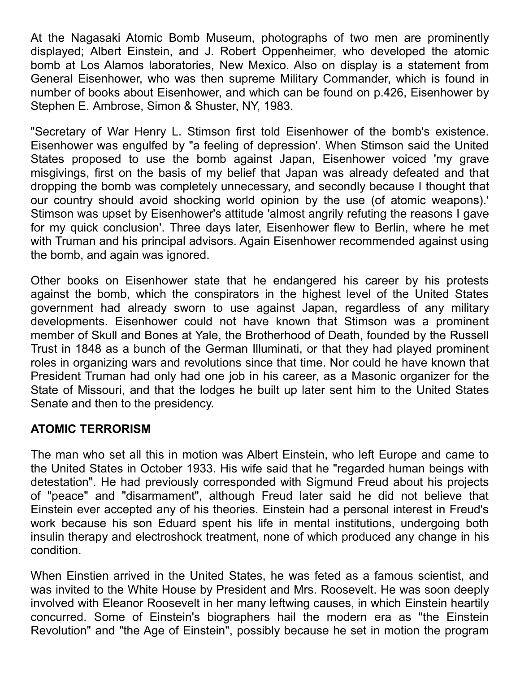At the Nagasaki Atomic Bomb Museum, photographs of two men are prominently displayed; Albert Einstein, and J. Robert Oppenheimer, who developed the atomic bomb at Los Alamos laboratories, New Mexico. Also on display is a statement from General Eisenhower, who was then supreme Military Commander, which is found in number of books about Eisenhower, and which can be found on p.426, Eisenhower by Stephen E. Ambrose, Simon & Shuster, NY, 1983.

"Secretary of War Henry L. Stimson first told Eisenhower of the bomb's existence. Eisenhower was engulfed by "a feeling of depression'. When Stimson said the United States proposed to use the bomb against Japan, Eisenhower voiced 'my grave misgivings, first on the basis of my belief that Japan was already defeated and that dropping the bomb was completely unnecessary, and secondly because I thought that our country should avoid shocking world opinion by the use (of atomic weapons).' Stimson was upset by Eisenhower's attitude 'almost angrily refuting the reasons I gave for my quick conclusion'. Three days later, Eisenhower flew to Berlin, where he met with Truman and his principal advisors. Again Eisenhower recommended against using the bomb, and again was ignored.

Other books on Eisenhower state that he endangered his career by his protests against the bomb, which the conspirators in the highest level of the United States government had already sworn to use against Japan, regardless of any military developments. Eisenhower could not have known that Stimson was a prominent member of Skull and Bones at Yale, the Brotherhood of Death, founded by the Russell Trust in 1848 as a bunch of the German Illuminati, or that they had played prominent roles in organizing wars and revolutions since that time. Nor could he have known that President Truman had only had one job in his career, as a Masonic organizer for the State of Missouri, and that the lodges he built up later sent him to the United States Senate and then to the presidency.

#### **ATOMIC TERRORISM**

The man who set all this in motion was Albert Einstein, who left Europe and came to the United States in October 1933. His wife said that he "regarded human beings with detestation". He had previously corresponded with Sigmund Freud about his projects of "peace" and "disarmament", although Freud later said he did not believe that Einstein ever accepted any of his theories. Einstein had a personal interest in Freud's work because his son Eduard spent his life in mental institutions, undergoing both insulin therapy and electroshock treatment, none of which produced any change in his condition.

When Einstien arrived in the United States, he was feted as a famous scientist, and was invited to the White House by President and Mrs. Roosevelt. He was soon deeply involved with Eleanor Roosevelt in her many leftwing causes, in which Einstein heartily concurred. Some of Einstein's biographers hail the modern era as "the Einstein Revolution" and "the Age of Einstein", possibly because he set in motion the program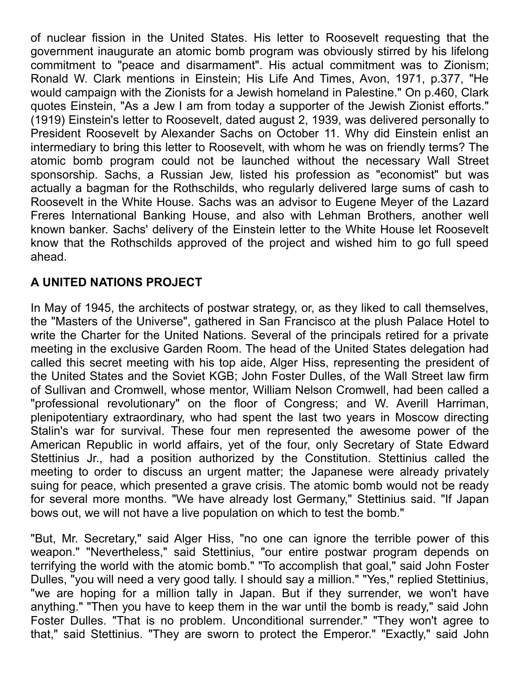of nuclear fission in the United States. His letter to Roosevelt requesting that the government inaugurate an atomic bomb program was obviously stirred by his lifelong commitment to "peace and disarmament". His actual commitment was to Zionism; Ronald W. Clark mentions in Einstein; His Life And Times, Avon, 1971, p.377, "He would campaign with the Zionists for a Jewish homeland in Palestine." On p.460, Clark quotes Einstein, "As a Jew I am from today a supporter of the Jewish Zionist efforts." (1919) Einstein's letter to Roosevelt, dated august 2, 1939, was delivered personally to President Roosevelt by Alexander Sachs on October 11. Why did Einstein enlist an intermediary to bring this letter to Roosevelt, with whom he was on friendly terms? The atomic bomb program could not be launched without the necessary Wall Street sponsorship. Sachs, a Russian Jew, listed his profession as "economist" but was actually a bagman for the Rothschilds, who regularly delivered large sums of cash to Roosevelt in the White House. Sachs was an advisor to Eugene Meyer of the Lazard Freres International Banking House, and also with Lehman Brothers, another well known banker. Sachs' delivery of the Einstein letter to the White House let Roosevelt know that the Rothschilds approved of the project and wished him to go full speed ahead.

# **A UNITED NATIONS PROJECT**

In May of 1945, the architects of postwar strategy, or, as they liked to call themselves, the "Masters of the Universe", gathered in San Francisco at the plush Palace Hotel to write the Charter for the United Nations. Several of the principals retired for a private meeting in the exclusive Garden Room. The head of the United States delegation had called this secret meeting with his top aide, Alger Hiss, representing the president of the United States and the Soviet KGB; John Foster Dulles, of the Wall Street law firm of Sullivan and Cromwell, whose mentor, William Nelson Cromwell, had been called a "professional revolutionary" on the floor of Congress; and W. Averill Harriman, plenipotentiary extraordinary, who had spent the last two years in Moscow directing Stalin's war for survival. These four men represented the awesome power of the American Republic in world affairs, yet of the four, only Secretary of State Edward Stettinius Jr., had a position authorized by the Constitution. Stettinius called the meeting to order to discuss an urgent matter; the Japanese were already privately suing for peace, which presented a grave crisis. The atomic bomb would not be ready for several more months. "We have already lost Germany," Stettinius said. "If Japan bows out, we will not have a live population on which to test the bomb."

"But, Mr. Secretary," said Alger Hiss, "no one can ignore the terrible power of this weapon." "Nevertheless," said Stettinius, "our entire postwar program depends on terrifying the world with the atomic bomb." "To accomplish that goal," said John Foster Dulles, "you will need a very good tally. I should say a million." "Yes," replied Stettinius, "we are hoping for a million tally in Japan. But if they surrender, we won't have anything." "Then you have to keep them in the war until the bomb is ready," said John Foster Dulles. "That is no problem. Unconditional surrender." "They won't agree to that," said Stettinius. "They are sworn to protect the Emperor." "Exactly," said John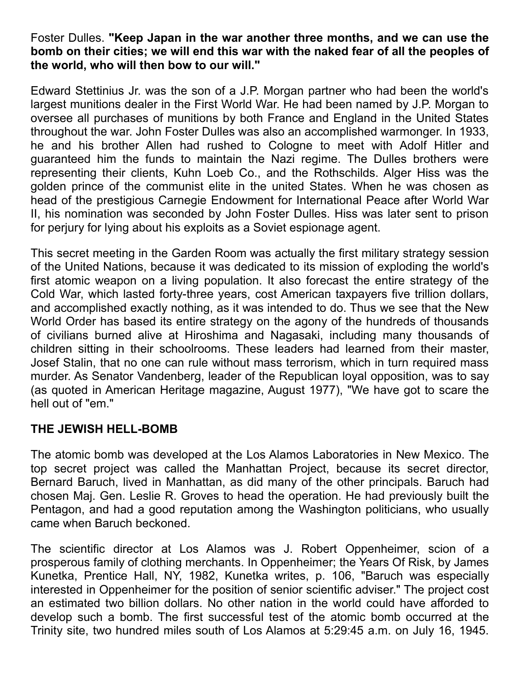Foster Dulles. **"Keep Japan in the war another three months, and we can use the bomb on their cities; we will end this war with the naked fear of all the peoples of the world, who will then bow to our will."**

Edward Stettinius Jr. was the son of a J.P. Morgan partner who had been the world's largest munitions dealer in the First World War. He had been named by J.P. Morgan to oversee all purchases of munitions by both France and England in the United States throughout the war. John Foster Dulles was also an accomplished warmonger. In 1933, he and his brother Allen had rushed to Cologne to meet with Adolf Hitler and guaranteed him the funds to maintain the Nazi regime. The Dulles brothers were representing their clients, Kuhn Loeb Co., and the Rothschilds. Alger Hiss was the golden prince of the communist elite in the united States. When he was chosen as head of the prestigious Carnegie Endowment for International Peace after World War II, his nomination was seconded by John Foster Dulles. Hiss was later sent to prison for perjury for lying about his exploits as a Soviet espionage agent.

This secret meeting in the Garden Room was actually the first military strategy session of the United Nations, because it was dedicated to its mission of exploding the world's first atomic weapon on a living population. It also forecast the entire strategy of the Cold War, which lasted forty-three years, cost American taxpayers five trillion dollars, and accomplished exactly nothing, as it was intended to do. Thus we see that the New World Order has based its entire strategy on the agony of the hundreds of thousands of civilians burned alive at Hiroshima and Nagasaki, including many thousands of children sitting in their schoolrooms. These leaders had learned from their master, Josef Stalin, that no one can rule without mass terrorism, which in turn required mass murder. As Senator Vandenberg, leader of the Republican loyal opposition, was to say (as quoted in American Heritage magazine, August 1977), "We have got to scare the hell out of "em."

## **THE JEWISH HELL-BOMB**

The atomic bomb was developed at the Los Alamos Laboratories in New Mexico. The top secret project was called the Manhattan Project, because its secret director, Bernard Baruch, lived in Manhattan, as did many of the other principals. Baruch had chosen Maj. Gen. Leslie R. Groves to head the operation. He had previously built the Pentagon, and had a good reputation among the Washington politicians, who usually came when Baruch beckoned.

The scientific director at Los Alamos was J. Robert Oppenheimer, scion of a prosperous family of clothing merchants. In Oppenheimer; the Years Of Risk, by James Kunetka, Prentice Hall, NY, 1982, Kunetka writes, p. 106, "Baruch was especially interested in Oppenheimer for the position of senior scientific adviser." The project cost an estimated two billion dollars. No other nation in the world could have afforded to develop such a bomb. The first successful test of the atomic bomb occurred at the Trinity site, two hundred miles south of Los Alamos at 5:29:45 a.m. on July 16, 1945.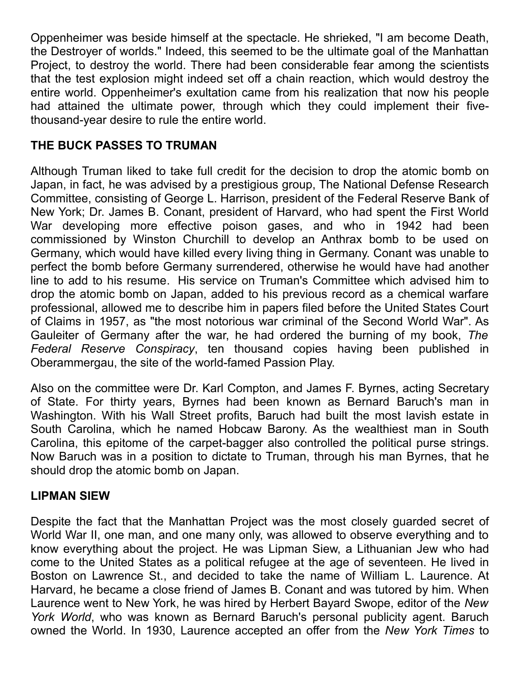Oppenheimer was beside himself at the spectacle. He shrieked, "I am become Death, the Destroyer of worlds." Indeed, this seemed to be the ultimate goal of the Manhattan Project, to destroy the world. There had been considerable fear among the scientists that the test explosion might indeed set off a chain reaction, which would destroy the entire world. Oppenheimer's exultation came from his realization that now his people had attained the ultimate power, through which they could implement their fivethousand-year desire to rule the entire world.

## **THE BUCK PASSES TO TRUMAN**

Although Truman liked to take full credit for the decision to drop the atomic bomb on Japan, in fact, he was advised by a prestigious group, The National Defense Research Committee, consisting of George L. Harrison, president of the Federal Reserve Bank of New York; Dr. James B. Conant, president of Harvard, who had spent the First World War developing more effective poison gases, and who in 1942 had been commissioned by Winston Churchill to develop an Anthrax bomb to be used on Germany, which would have killed every living thing in Germany. Conant was unable to perfect the bomb before Germany surrendered, otherwise he would have had another line to add to his resume. His service on Truman's Committee which advised him to drop the atomic bomb on Japan, added to his previous record as a chemical warfare professional, allowed me to describe him in papers filed before the United States Court of Claims in 1957, as "the most notorious war criminal of the Second World War". As Gauleiter of Germany after the war, he had ordered the burning of my book, *The Federal Reserve Conspiracy*, ten thousand copies having been published in Oberammergau, the site of the world-famed Passion Play.

Also on the committee were Dr. Karl Compton, and James F. Byrnes, acting Secretary of State. For thirty years, Byrnes had been known as Bernard Baruch's man in Washington. With his Wall Street profits, Baruch had built the most lavish estate in South Carolina, which he named Hobcaw Barony. As the wealthiest man in South Carolina, this epitome of the carpet-bagger also controlled the political purse strings. Now Baruch was in a position to dictate to Truman, through his man Byrnes, that he should drop the atomic bomb on Japan.

#### **LIPMAN SIEW**

Despite the fact that the Manhattan Project was the most closely guarded secret of World War II, one man, and one many only, was allowed to observe everything and to know everything about the project. He was Lipman Siew, a Lithuanian Jew who had come to the United States as a political refugee at the age of seventeen. He lived in Boston on Lawrence St., and decided to take the name of William L. Laurence. At Harvard, he became a close friend of James B. Conant and was tutored by him. When Laurence went to New York, he was hired by Herbert Bayard Swope, editor of the *New York World*, who was known as Bernard Baruch's personal publicity agent. Baruch owned the World. In 1930, Laurence accepted an offer from the *New York Times* to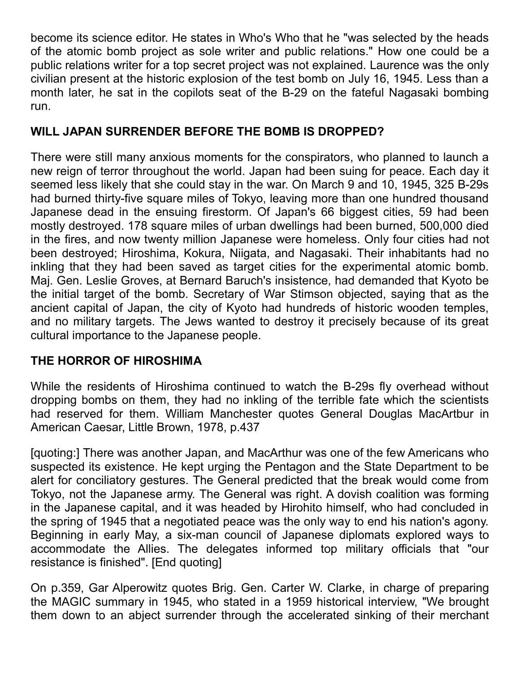become its science editor. He states in Who's Who that he "was selected by the heads of the atomic bomb project as sole writer and public relations." How one could be a public relations writer for a top secret project was not explained. Laurence was the only civilian present at the historic explosion of the test bomb on July 16, 1945. Less than a month later, he sat in the copilots seat of the B-29 on the fateful Nagasaki bombing run.

# **WILL JAPAN SURRENDER BEFORE THE BOMB IS DROPPED?**

There were still many anxious moments for the conspirators, who planned to launch a new reign of terror throughout the world. Japan had been suing for peace. Each day it seemed less likely that she could stay in the war. On March 9 and 10, 1945, 325 B-29s had burned thirty-five square miles of Tokyo, leaving more than one hundred thousand Japanese dead in the ensuing firestorm. Of Japan's 66 biggest cities, 59 had been mostly destroyed. 178 square miles of urban dwellings had been burned, 500,000 died in the fires, and now twenty million Japanese were homeless. Only four cities had not been destroyed; Hiroshima, Kokura, Niigata, and Nagasaki. Their inhabitants had no inkling that they had been saved as target cities for the experimental atomic bomb. Maj. Gen. Leslie Groves, at Bernard Baruch's insistence, had demanded that Kyoto be the initial target of the bomb. Secretary of War Stimson objected, saying that as the ancient capital of Japan, the city of Kyoto had hundreds of historic wooden temples, and no military targets. The Jews wanted to destroy it precisely because of its great cultural importance to the Japanese people.

# **THE HORROR OF HIROSHIMA**

While the residents of Hiroshima continued to watch the B-29s fly overhead without dropping bombs on them, they had no inkling of the terrible fate which the scientists had reserved for them. William Manchester quotes General Douglas MacArtbur in American Caesar, Little Brown, 1978, p.437

[quoting:] There was another Japan, and MacArthur was one of the few Americans who suspected its existence. He kept urging the Pentagon and the State Department to be alert for conciliatory gestures. The General predicted that the break would come from Tokyo, not the Japanese army. The General was right. A dovish coalition was forming in the Japanese capital, and it was headed by Hirohito himself, who had concluded in the spring of 1945 that a negotiated peace was the only way to end his nation's agony. Beginning in early May, a six-man council of Japanese diplomats explored ways to accommodate the Allies. The delegates informed top military officials that "our resistance is finished". [End quoting]

On p.359, Gar Alperowitz quotes Brig. Gen. Carter W. Clarke, in charge of preparing the MAGIC summary in 1945, who stated in a 1959 historical interview, "We brought them down to an abject surrender through the accelerated sinking of their merchant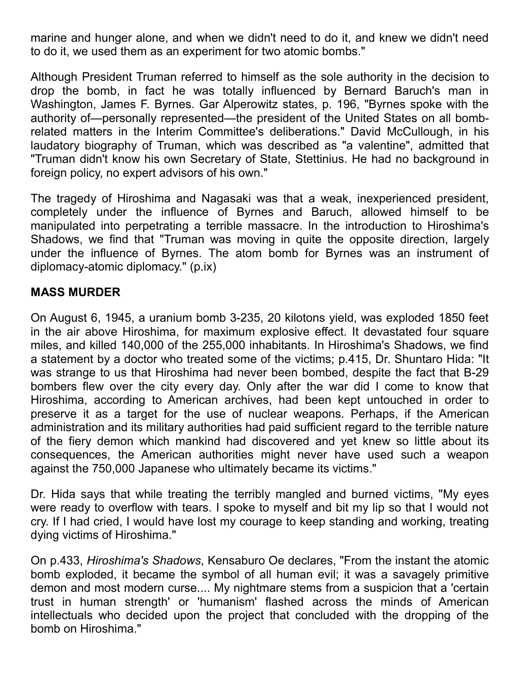marine and hunger alone, and when we didn't need to do it, and knew we didn't need to do it, we used them as an experiment for two atomic bombs."

Although President Truman referred to himself as the sole authority in the decision to drop the bomb, in fact he was totally influenced by Bernard Baruch's man in Washington, James F. Byrnes. Gar Alperowitz states, p. 196, "Byrnes spoke with the authority of—personally represented—the president of the United States on all bombrelated matters in the Interim Committee's deliberations." David McCullough, in his laudatory biography of Truman, which was described as "a valentine", admitted that "Truman didn't know his own Secretary of State, Stettinius. He had no background in foreign policy, no expert advisors of his own."

The tragedy of Hiroshima and Nagasaki was that a weak, inexperienced president, completely under the influence of Byrnes and Baruch, allowed himself to be manipulated into perpetrating a terrible massacre. In the introduction to Hiroshima's Shadows, we find that "Truman was moving in quite the opposite direction, largely under the influence of Byrnes. The atom bomb for Byrnes was an instrument of diplomacy-atomic diplomacy." (p.ix)

#### **MASS MURDER**

On August 6, 1945, a uranium bomb 3-235, 20 kilotons yield, was exploded 1850 feet in the air above Hiroshima, for maximum explosive effect. It devastated four square miles, and killed 140,000 of the 255,000 inhabitants. In Hiroshima's Shadows, we find a statement by a doctor who treated some of the victims; p.415, Dr. Shuntaro Hida: "It was strange to us that Hiroshima had never been bombed, despite the fact that B-29 bombers flew over the city every day. Only after the war did I come to know that Hiroshima, according to American archives, had been kept untouched in order to preserve it as a target for the use of nuclear weapons. Perhaps, if the American administration and its military authorities had paid sufficient regard to the terrible nature of the fiery demon which mankind had discovered and yet knew so little about its consequences, the American authorities might never have used such a weapon against the 750,000 Japanese who ultimately became its victims."

Dr. Hida says that while treating the terribly mangled and burned victims, "My eyes were ready to overflow with tears. I spoke to myself and bit my lip so that I would not cry. If I had cried, I would have lost my courage to keep standing and working, treating dying victims of Hiroshima."

On p.433, *Hiroshima's Shadows*, Kensaburo Oe declares, "From the instant the atomic bomb exploded, it became the symbol of all human evil; it was a savagely primitive demon and most modern curse.... My nightmare stems from a suspicion that a 'certain trust in human strength' or 'humanism' flashed across the minds of American intellectuals who decided upon the project that concluded with the dropping of the bomb on Hiroshima."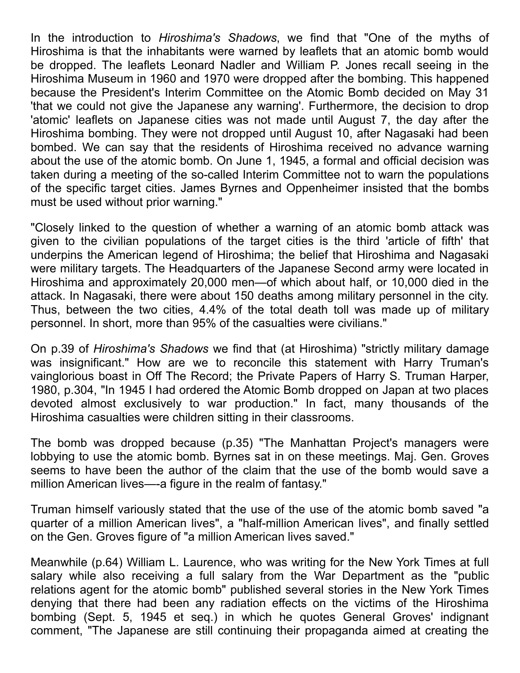In the introduction to *Hiroshima's Shadows*, we find that "One of the myths of Hiroshima is that the inhabitants were warned by leaflets that an atomic bomb would be dropped. The leaflets Leonard Nadler and William P. Jones recall seeing in the Hiroshima Museum in 1960 and 1970 were dropped after the bombing. This happened because the President's Interim Committee on the Atomic Bomb decided on May 31 'that we could not give the Japanese any warning'. Furthermore, the decision to drop 'atomic' leaflets on Japanese cities was not made until August 7, the day after the Hiroshima bombing. They were not dropped until August 10, after Nagasaki had been bombed. We can say that the residents of Hiroshima received no advance warning about the use of the atomic bomb. On June 1, 1945, a formal and official decision was taken during a meeting of the so-called Interim Committee not to warn the populations of the specific target cities. James Byrnes and Oppenheimer insisted that the bombs must be used without prior warning."

"Closely linked to the question of whether a warning of an atomic bomb attack was given to the civilian populations of the target cities is the third 'article of fifth' that underpins the American legend of Hiroshima; the belief that Hiroshima and Nagasaki were military targets. The Headquarters of the Japanese Second army were located in Hiroshima and approximately 20,000 men—of which about half, or 10,000 died in the attack. In Nagasaki, there were about 150 deaths among military personnel in the city. Thus, between the two cities, 4.4% of the total death toll was made up of military personnel. In short, more than 95% of the casualties were civilians."

On p.39 of *Hiroshima's Shadows* we find that (at Hiroshima) "strictly military damage was insignificant." How are we to reconcile this statement with Harry Truman's vainglorious boast in Off The Record; the Private Papers of Harry S. Truman Harper, 1980, p.304, "In 1945 I had ordered the Atomic Bomb dropped on Japan at two places devoted almost exclusively to war production." In fact, many thousands of the Hiroshima casualties were children sitting in their classrooms.

The bomb was dropped because (p.35) "The Manhattan Project's managers were lobbying to use the atomic bomb. Byrnes sat in on these meetings. Maj. Gen. Groves seems to have been the author of the claim that the use of the bomb would save a million American lives—-a figure in the realm of fantasy."

Truman himself variously stated that the use of the use of the atomic bomb saved "a quarter of a million American lives", a "half-million American lives", and finally settled on the Gen. Groves figure of "a million American lives saved."

Meanwhile (p.64) William L. Laurence, who was writing for the New York Times at full salary while also receiving a full salary from the War Department as the "public relations agent for the atomic bomb" published several stories in the New York Times denying that there had been any radiation effects on the victims of the Hiroshima bombing (Sept. 5, 1945 et seq.) in which he quotes General Groves' indignant comment, "The Japanese are still continuing their propaganda aimed at creating the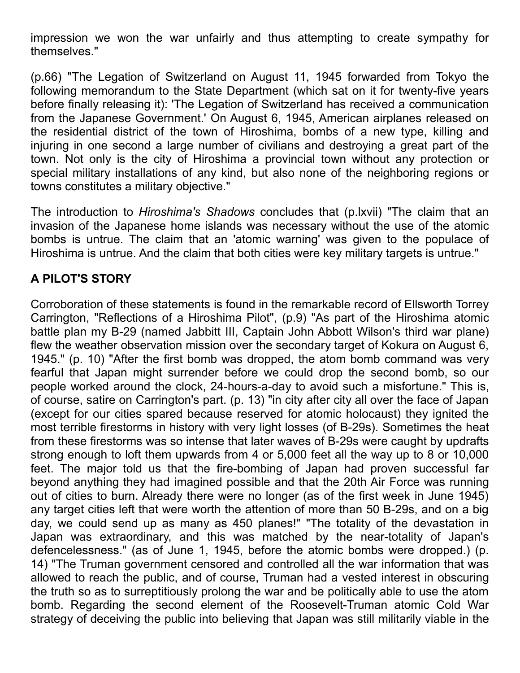impression we won the war unfairly and thus attempting to create sympathy for themselves."

(p.66) "The Legation of Switzerland on August 11, 1945 forwarded from Tokyo the following memorandum to the State Department (which sat on it for twenty-five years before finally releasing it): 'The Legation of Switzerland has received a communication from the Japanese Government.' On August 6, 1945, American airplanes released on the residential district of the town of Hiroshima, bombs of a new type, killing and injuring in one second a large number of civilians and destroying a great part of the town. Not only is the city of Hiroshima a provincial town without any protection or special military installations of any kind, but also none of the neighboring regions or towns constitutes a military objective."

The introduction to *Hiroshima's Shadows* concludes that (p.lxvii) "The claim that an invasion of the Japanese home islands was necessary without the use of the atomic bombs is untrue. The claim that an 'atomic warning' was given to the populace of Hiroshima is untrue. And the claim that both cities were key military targets is untrue."

# **A PILOT'S STORY**

Corroboration of these statements is found in the remarkable record of Ellsworth Torrey Carrington, "Reflections of a Hiroshima Pilot", (p.9) "As part of the Hiroshima atomic battle plan my B-29 (named Jabbitt III, Captain John Abbott Wilson's third war plane) flew the weather observation mission over the secondary target of Kokura on August 6, 1945." (p. 10) "After the first bomb was dropped, the atom bomb command was very fearful that Japan might surrender before we could drop the second bomb, so our people worked around the clock, 24-hours-a-day to avoid such a misfortune." This is, of course, satire on Carrington's part. (p. 13) "in city after city all over the face of Japan (except for our cities spared because reserved for atomic holocaust) they ignited the most terrible firestorms in history with very light losses (of B-29s). Sometimes the heat from these firestorms was so intense that later waves of B-29s were caught by updrafts strong enough to loft them upwards from 4 or 5,000 feet all the way up to 8 or 10,000 feet. The major told us that the fire-bombing of Japan had proven successful far beyond anything they had imagined possible and that the 20th Air Force was running out of cities to burn. Already there were no longer (as of the first week in June 1945) any target cities left that were worth the attention of more than 50 B-29s, and on a big day, we could send up as many as 450 planes!" "The totality of the devastation in Japan was extraordinary, and this was matched by the near-totality of Japan's defencelessness." (as of June 1, 1945, before the atomic bombs were dropped.) (p. 14) "The Truman government censored and controlled all the war information that was allowed to reach the public, and of course, Truman had a vested interest in obscuring the truth so as to surreptitiously prolong the war and be politically able to use the atom bomb. Regarding the second element of the Roosevelt-Truman atomic Cold War strategy of deceiving the public into believing that Japan was still militarily viable in the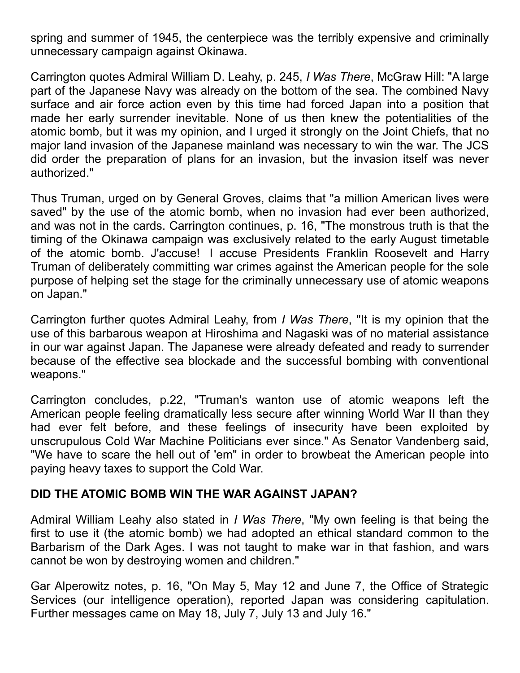spring and summer of 1945, the centerpiece was the terribly expensive and criminally unnecessary campaign against Okinawa.

Carrington quotes Admiral William D. Leahy, p. 245, *I Was There*, McGraw Hill: "A large part of the Japanese Navy was already on the bottom of the sea. The combined Navy surface and air force action even by this time had forced Japan into a position that made her early surrender inevitable. None of us then knew the potentialities of the atomic bomb, but it was my opinion, and I urged it strongly on the Joint Chiefs, that no major land invasion of the Japanese mainland was necessary to win the war. The JCS did order the preparation of plans for an invasion, but the invasion itself was never authorized."

Thus Truman, urged on by General Groves, claims that "a million American lives were saved" by the use of the atomic bomb, when no invasion had ever been authorized, and was not in the cards. Carrington continues, p. 16, "The monstrous truth is that the timing of the Okinawa campaign was exclusively related to the early August timetable of the atomic bomb. J'accuse! I accuse Presidents Franklin Roosevelt and Harry Truman of deliberately committing war crimes against the American people for the sole purpose of helping set the stage for the criminally unnecessary use of atomic weapons on Japan."

Carrington further quotes Admiral Leahy, from *I Was There*, "It is my opinion that the use of this barbarous weapon at Hiroshima and Nagaski was of no material assistance in our war against Japan. The Japanese were already defeated and ready to surrender because of the effective sea blockade and the successful bombing with conventional weapons."

Carrington concludes, p.22, "Truman's wanton use of atomic weapons left the American people feeling dramatically less secure after winning World War II than they had ever felt before, and these feelings of insecurity have been exploited by unscrupulous Cold War Machine Politicians ever since." As Senator Vandenberg said, "We have to scare the hell out of 'em" in order to browbeat the American people into paying heavy taxes to support the Cold War.

## **DID THE ATOMIC BOMB WIN THE WAR AGAINST JAPAN?**

Admiral William Leahy also stated in *I Was There*, "My own feeling is that being the first to use it (the atomic bomb) we had adopted an ethical standard common to the Barbarism of the Dark Ages. I was not taught to make war in that fashion, and wars cannot be won by destroying women and children."

Gar Alperowitz notes, p. 16, "On May 5, May 12 and June 7, the Office of Strategic Services (our intelligence operation), reported Japan was considering capitulation. Further messages came on May 18, July 7, July 13 and July 16."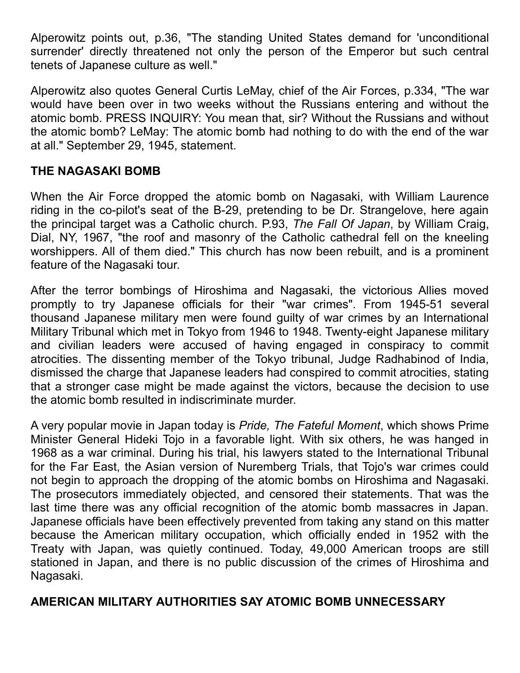Alperowitz points out, p.36, "The standing United States demand for 'unconditional surrender' directly threatened not only the person of the Emperor but such central tenets of Japanese culture as well."

Alperowitz also quotes General Curtis LeMay, chief of the Air Forces, p.334, "The war would have been over in two weeks without the Russians entering and without the atomic bomb. PRESS INQUIRY: You mean that, sir? Without the Russians and without the atomic bomb? LeMay: The atomic bomb had nothing to do with the end of the war at all." September 29, 1945, statement.

#### **THE NAGASAKI BOMB**

When the Air Force dropped the atomic bomb on Nagasaki, with William Laurence riding in the co-pilot's seat of the B-29, pretending to be Dr. Strangelove, here again the principal target was a Catholic church. P.93, *The Fall Of Japan*, by William Craig, Dial, NY, 1967, "the roof and masonry of the Catholic cathedral fell on the kneeling worshippers. All of them died." This church has now been rebuilt, and is a prominent feature of the Nagasaki tour.

After the terror bombings of Hiroshima and Nagasaki, the victorious Allies moved promptly to try Japanese officials for their "war crimes". From 1945-51 several thousand Japanese military men were found guilty of war crimes by an International Military Tribunal which met in Tokyo from 1946 to 1948. Twenty-eight Japanese military and civilian leaders were accused of having engaged in conspiracy to commit atrocities. The dissenting member of the Tokyo tribunal, Judge Radhabinod of India, dismissed the charge that Japanese leaders had conspired to commit atrocities, stating that a stronger case might be made against the victors, because the decision to use the atomic bomb resulted in indiscriminate murder.

A very popular movie in Japan today is *Pride, The Fateful Moment*, which shows Prime Minister General Hideki Tojo in a favorable light. With six others, he was hanged in 1968 as a war criminal. During his trial, his lawyers stated to the International Tribunal for the Far East, the Asian version of Nuremberg Trials, that Tojo's war crimes could not begin to approach the dropping of the atomic bombs on Hiroshima and Nagasaki. The prosecutors immediately objected, and censored their statements. That was the last time there was any official recognition of the atomic bomb massacres in Japan. Japanese officials have been effectively prevented from taking any stand on this matter because the American military occupation, which officially ended in 1952 with the Treaty with Japan, was quietly continued. Today, 49,000 American troops are still stationed in Japan, and there is no public discussion of the crimes of Hiroshima and Nagasaki.

## **AMERICAN MILITARY AUTHORITIES SAY ATOMIC BOMB UNNECESSARY**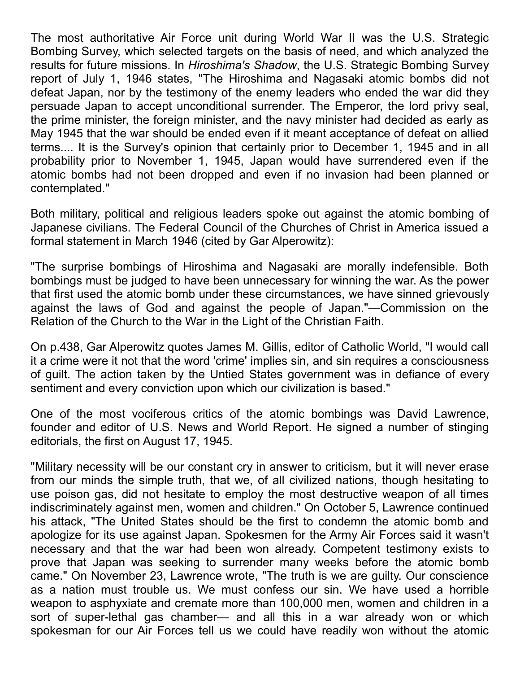The most authoritative Air Force unit during World War II was the U.S. Strategic Bombing Survey, which selected targets on the basis of need, and which analyzed the results for future missions. In *Hiroshima's Shadow*, the U.S. Strategic Bombing Survey report of July 1, 1946 states, "The Hiroshima and Nagasaki atomic bombs did not defeat Japan, nor by the testimony of the enemy leaders who ended the war did they persuade Japan to accept unconditional surrender. The Emperor, the lord privy seal, the prime minister, the foreign minister, and the navy minister had decided as early as May 1945 that the war should be ended even if it meant acceptance of defeat on allied terms.... It is the Survey's opinion that certainly prior to December 1, 1945 and in all probability prior to November 1, 1945, Japan would have surrendered even if the atomic bombs had not been dropped and even if no invasion had been planned or contemplated."

Both military, political and religious leaders spoke out against the atomic bombing of Japanese civilians. The Federal Council of the Churches of Christ in America issued a formal statement in March 1946 (cited by Gar Alperowitz):

"The surprise bombings of Hiroshima and Nagasaki are morally indefensible. Both bombings must be judged to have been unnecessary for winning the war. As the power that first used the atomic bomb under these circumstances, we have sinned grievously against the laws of God and against the people of Japan."—Commission on the Relation of the Church to the War in the Light of the Christian Faith.

On p.438, Gar Alperowitz quotes James M. Gillis, editor of Catholic World, "I would call it a crime were it not that the word 'crime' implies sin, and sin requires a consciousness of guilt. The action taken by the Untied States government was in defiance of every sentiment and every conviction upon which our civilization is based."

One of the most vociferous critics of the atomic bombings was David Lawrence, founder and editor of U.S. News and World Report. He signed a number of stinging editorials, the first on August 17, 1945.

"Military necessity will be our constant cry in answer to criticism, but it will never erase from our minds the simple truth, that we, of all civilized nations, though hesitating to use poison gas, did not hesitate to employ the most destructive weapon of all times indiscriminately against men, women and children." On October 5, Lawrence continued his attack, "The United States should be the first to condemn the atomic bomb and apologize for its use against Japan. Spokesmen for the Army Air Forces said it wasn't necessary and that the war had been won already. Competent testimony exists to prove that Japan was seeking to surrender many weeks before the atomic bomb came." On November 23, Lawrence wrote, "The truth is we are guilty. Our conscience as a nation must trouble us. We must confess our sin. We have used a horrible weapon to asphyxiate and cremate more than 100,000 men, women and children in a sort of super-lethal gas chamber— and all this in a war already won or which spokesman for our Air Forces tell us we could have readily won without the atomic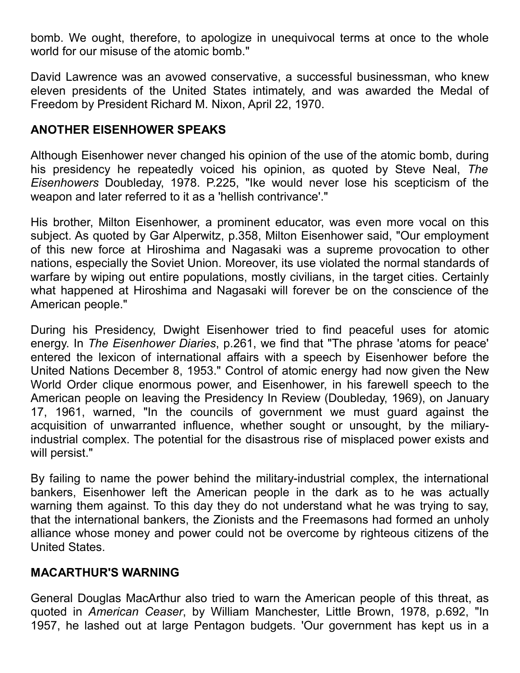bomb. We ought, therefore, to apologize in unequivocal terms at once to the whole world for our misuse of the atomic bomb."

David Lawrence was an avowed conservative, a successful businessman, who knew eleven presidents of the United States intimately, and was awarded the Medal of Freedom by President Richard M. Nixon, April 22, 1970.

#### **ANOTHER EISENHOWER SPEAKS**

Although Eisenhower never changed his opinion of the use of the atomic bomb, during his presidency he repeatedly voiced his opinion, as quoted by Steve Neal, *The Eisenhowers* Doubleday, 1978. P.225, "Ike would never lose his scepticism of the weapon and later referred to it as a 'hellish contrivance'."

His brother, Milton Eisenhower, a prominent educator, was even more vocal on this subject. As quoted by Gar Alperwitz, p.358, Milton Eisenhower said, "Our employment of this new force at Hiroshima and Nagasaki was a supreme provocation to other nations, especially the Soviet Union. Moreover, its use violated the normal standards of warfare by wiping out entire populations, mostly civilians, in the target cities. Certainly what happened at Hiroshima and Nagasaki will forever be on the conscience of the American people."

During his Presidency, Dwight Eisenhower tried to find peaceful uses for atomic energy. In *The Eisenhower Diaries*, p.261, we find that "The phrase 'atoms for peace' entered the lexicon of international affairs with a speech by Eisenhower before the United Nations December 8, 1953." Control of atomic energy had now given the New World Order clique enormous power, and Eisenhower, in his farewell speech to the American people on leaving the Presidency In Review (Doubleday, 1969), on January 17, 1961, warned, "In the councils of government we must guard against the acquisition of unwarranted influence, whether sought or unsought, by the miliaryindustrial complex. The potential for the disastrous rise of misplaced power exists and will persist."

By failing to name the power behind the military-industrial complex, the international bankers, Eisenhower left the American people in the dark as to he was actually warning them against. To this day they do not understand what he was trying to say, that the international bankers, the Zionists and the Freemasons had formed an unholy alliance whose money and power could not be overcome by righteous citizens of the United States.

#### **MACARTHUR'S WARNING**

General Douglas MacArthur also tried to warn the American people of this threat, as quoted in *American Ceaser*, by William Manchester, Little Brown, 1978, p.692, "In 1957, he lashed out at large Pentagon budgets. 'Our government has kept us in a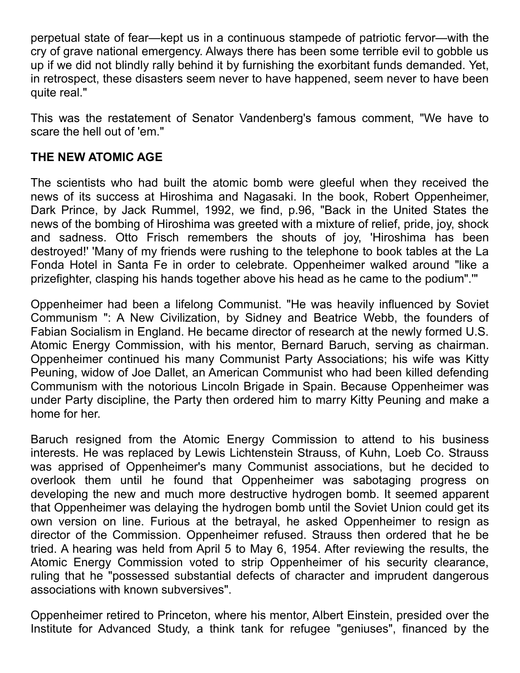perpetual state of fear—kept us in a continuous stampede of patriotic fervor—with the cry of grave national emergency. Always there has been some terrible evil to gobble us up if we did not blindly rally behind it by furnishing the exorbitant funds demanded. Yet, in retrospect, these disasters seem never to have happened, seem never to have been quite real."

This was the restatement of Senator Vandenberg's famous comment, "We have to scare the hell out of 'em."

#### **THE NEW ATOMIC AGE**

The scientists who had built the atomic bomb were gleeful when they received the news of its success at Hiroshima and Nagasaki. In the book, Robert Oppenheimer, Dark Prince, by Jack Rummel, 1992, we find, p.96, "Back in the United States the news of the bombing of Hiroshima was greeted with a mixture of relief, pride, joy, shock and sadness. Otto Frisch remembers the shouts of joy, 'Hiroshima has been destroyed!' 'Many of my friends were rushing to the telephone to book tables at the La Fonda Hotel in Santa Fe in order to celebrate. Oppenheimer walked around "like a prizefighter, clasping his hands together above his head as he came to the podium".'"

Oppenheimer had been a lifelong Communist. "He was heavily influenced by Soviet Communism ": A New Civilization, by Sidney and Beatrice Webb, the founders of Fabian Socialism in England. He became director of research at the newly formed U.S. Atomic Energy Commission, with his mentor, Bernard Baruch, serving as chairman. Oppenheimer continued his many Communist Party Associations; his wife was Kitty Peuning, widow of Joe Dallet, an American Communist who had been killed defending Communism with the notorious Lincoln Brigade in Spain. Because Oppenheimer was under Party discipline, the Party then ordered him to marry Kitty Peuning and make a home for her.

Baruch resigned from the Atomic Energy Commission to attend to his business interests. He was replaced by Lewis Lichtenstein Strauss, of Kuhn, Loeb Co. Strauss was apprised of Oppenheimer's many Communist associations, but he decided to overlook them until he found that Oppenheimer was sabotaging progress on developing the new and much more destructive hydrogen bomb. It seemed apparent that Oppenheimer was delaying the hydrogen bomb until the Soviet Union could get its own version on line. Furious at the betrayal, he asked Oppenheimer to resign as director of the Commission. Oppenheimer refused. Strauss then ordered that he be tried. A hearing was held from April 5 to May 6, 1954. After reviewing the results, the Atomic Energy Commission voted to strip Oppenheimer of his security clearance, ruling that he "possessed substantial defects of character and imprudent dangerous associations with known subversives".

Oppenheimer retired to Princeton, where his mentor, Albert Einstein, presided over the Institute for Advanced Study, a think tank for refugee "geniuses", financed by the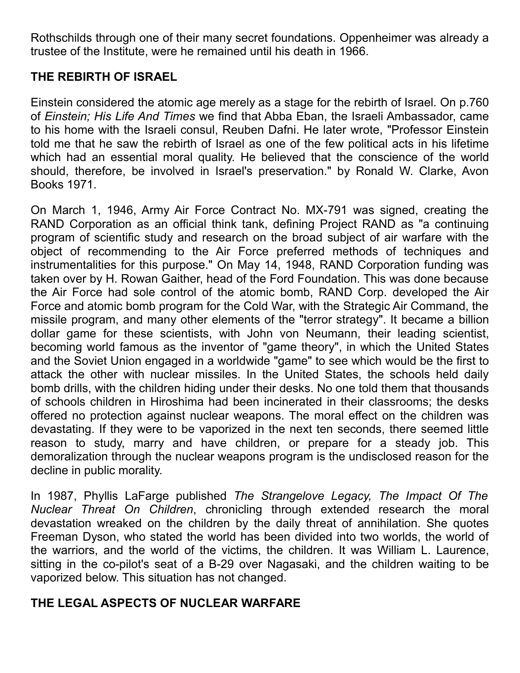Rothschilds through one of their many secret foundations. Oppenheimer was already a trustee of the Institute, were he remained until his death in 1966.

## **THE REBIRTH OF ISRAEL**

Einstein considered the atomic age merely as a stage for the rebirth of Israel. On p.760 of *Einstein; His Life And Times* we find that Abba Eban, the Israeli Ambassador, came to his home with the Israeli consul, Reuben Dafni. He later wrote, "Professor Einstein told me that he saw the rebirth of Israel as one of the few political acts in his lifetime which had an essential moral quality. He believed that the conscience of the world should, therefore, be involved in Israel's preservation." by Ronald W. Clarke, Avon Books 1971.

On March 1, 1946, Army Air Force Contract No. MX-791 was signed, creating the RAND Corporation as an official think tank, defining Project RAND as "a continuing program of scientific study and research on the broad subject of air warfare with the object of recommending to the Air Force preferred methods of techniques and instrumentalities for this purpose." On May 14, 1948, RAND Corporation funding was taken over by H. Rowan Gaither, head of the Ford Foundation. This was done because the Air Force had sole control of the atomic bomb, RAND Corp. developed the Air Force and atomic bomb program for the Cold War, with the Strategic Air Command, the missile program, and many other elements of the "terror strategy". It became a billion dollar game for these scientists, with John von Neumann, their leading scientist, becoming world famous as the inventor of "game theory", in which the United States and the Soviet Union engaged in a worldwide "game" to see which would be the first to attack the other with nuclear missiles. In the United States, the schools held daily bomb drills, with the children hiding under their desks. No one told them that thousands of schools children in Hiroshima had been incinerated in their classrooms; the desks offered no protection against nuclear weapons. The moral effect on the children was devastating. If they were to be vaporized in the next ten seconds, there seemed little reason to study, marry and have children, or prepare for a steady job. This demoralization through the nuclear weapons program is the undisclosed reason for the decline in public morality.

In 1987, Phyllis LaFarge published *The Strangelove Legacy, The Impact Of The Nuclear Threat On Children*, chronicling through extended research the moral devastation wreaked on the children by the daily threat of annihilation. She quotes Freeman Dyson, who stated the world has been divided into two worlds, the world of the warriors, and the world of the victims, the children. It was William L. Laurence, sitting in the co-pilot's seat of a B-29 over Nagasaki, and the children waiting to be vaporized below. This situation has not changed.

## **THE LEGAL ASPECTS OF NUCLEAR WARFARE**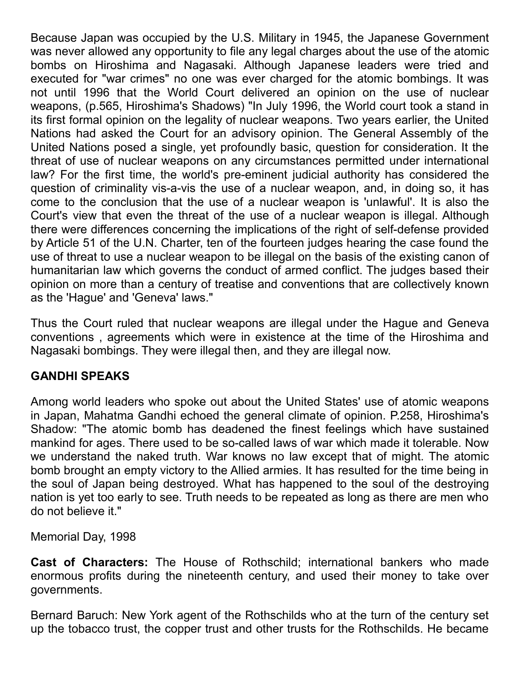Because Japan was occupied by the U.S. Military in 1945, the Japanese Government was never allowed any opportunity to file any legal charges about the use of the atomic bombs on Hiroshima and Nagasaki. Although Japanese leaders were tried and executed for "war crimes" no one was ever charged for the atomic bombings. It was not until 1996 that the World Court delivered an opinion on the use of nuclear weapons, (p.565, Hiroshima's Shadows) "In July 1996, the World court took a stand in its first formal opinion on the legality of nuclear weapons. Two years earlier, the United Nations had asked the Court for an advisory opinion. The General Assembly of the United Nations posed a single, yet profoundly basic, question for consideration. It the threat of use of nuclear weapons on any circumstances permitted under international law? For the first time, the world's pre-eminent judicial authority has considered the question of criminality vis-a-vis the use of a nuclear weapon, and, in doing so, it has come to the conclusion that the use of a nuclear weapon is 'unlawful'. It is also the Court's view that even the threat of the use of a nuclear weapon is illegal. Although there were differences concerning the implications of the right of self-defense provided by Article 51 of the U.N. Charter, ten of the fourteen judges hearing the case found the use of threat to use a nuclear weapon to be illegal on the basis of the existing canon of humanitarian law which governs the conduct of armed conflict. The judges based their opinion on more than a century of treatise and conventions that are collectively known as the 'Hague' and 'Geneva' laws."

Thus the Court ruled that nuclear weapons are illegal under the Hague and Geneva conventions , agreements which were in existence at the time of the Hiroshima and Nagasaki bombings. They were illegal then, and they are illegal now.

## **GANDHI SPEAKS**

Among world leaders who spoke out about the United States' use of atomic weapons in Japan, Mahatma Gandhi echoed the general climate of opinion. P.258, Hiroshima's Shadow: "The atomic bomb has deadened the finest feelings which have sustained mankind for ages. There used to be so-called laws of war which made it tolerable. Now we understand the naked truth. War knows no law except that of might. The atomic bomb brought an empty victory to the Allied armies. It has resulted for the time being in the soul of Japan being destroyed. What has happened to the soul of the destroying nation is yet too early to see. Truth needs to be repeated as long as there are men who do not believe it."

Memorial Day, 1998

**Cast of Characters:** The House of Rothschild; international bankers who made enormous profits during the nineteenth century, and used their money to take over governments.

Bernard Baruch: New York agent of the Rothschilds who at the turn of the century set up the tobacco trust, the copper trust and other trusts for the Rothschilds. He became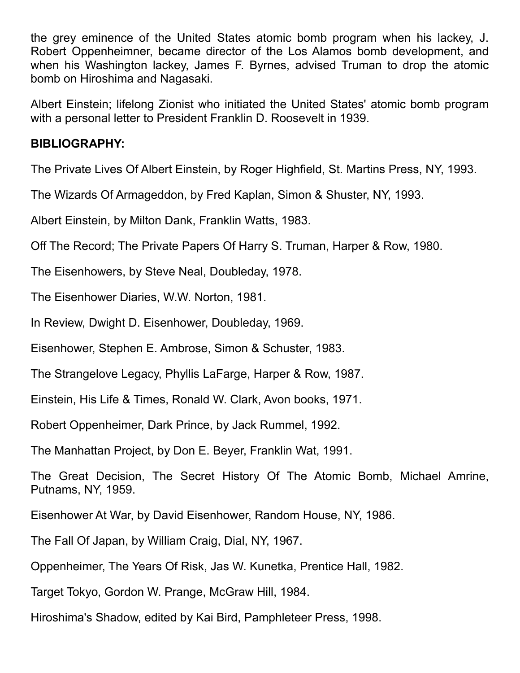the grey eminence of the United States atomic bomb program when his lackey, J. Robert Oppenheimner, became director of the Los Alamos bomb development, and when his Washington lackey, James F. Byrnes, advised Truman to drop the atomic bomb on Hiroshima and Nagasaki.

Albert Einstein; lifelong Zionist who initiated the United States' atomic bomb program with a personal letter to President Franklin D. Roosevelt in 1939.

#### **BIBLIOGRAPHY:**

The Private Lives Of Albert Einstein, by Roger Highfield, St. Martins Press, NY, 1993.

The Wizards Of Armageddon, by Fred Kaplan, Simon & Shuster, NY, 1993.

Albert Einstein, by Milton Dank, Franklin Watts, 1983.

Off The Record; The Private Papers Of Harry S. Truman, Harper & Row, 1980.

The Eisenhowers, by Steve Neal, Doubleday, 1978.

The Eisenhower Diaries, W.W. Norton, 1981.

In Review, Dwight D. Eisenhower, Doubleday, 1969.

Eisenhower, Stephen E. Ambrose, Simon & Schuster, 1983.

The Strangelove Legacy, Phyllis LaFarge, Harper & Row, 1987.

Einstein, His Life & Times, Ronald W. Clark, Avon books, 1971.

Robert Oppenheimer, Dark Prince, by Jack Rummel, 1992.

The Manhattan Project, by Don E. Beyer, Franklin Wat, 1991.

The Great Decision, The Secret History Of The Atomic Bomb, Michael Amrine, Putnams, NY, 1959.

Eisenhower At War, by David Eisenhower, Random House, NY, 1986.

The Fall Of Japan, by William Craig, Dial, NY, 1967.

Oppenheimer, The Years Of Risk, Jas W. Kunetka, Prentice Hall, 1982.

Target Tokyo, Gordon W. Prange, McGraw Hill, 1984.

Hiroshima's Shadow, edited by Kai Bird, Pamphleteer Press, 1998.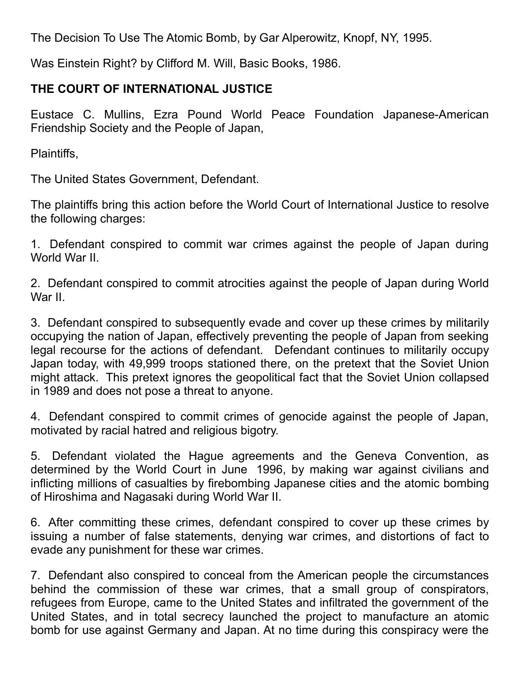The Decision To Use The Atomic Bomb, by Gar Alperowitz, Knopf, NY, 1995.

Was Einstein Right? by Clifford M. Will, Basic Books, 1986.

## **THE COURT OF INTERNATIONAL JUSTICE**

Eustace C. Mullins, Ezra Pound World Peace Foundation Japanese-American Friendship Society and the People of Japan,

Plaintiffs,

The United States Government, Defendant.

The plaintiffs bring this action before the World Court of International Justice to resolve the following charges:

1. Defendant conspired to commit war crimes against the people of Japan during World War II.

2. Defendant conspired to commit atrocities against the people of Japan during World War II.

3. Defendant conspired to subsequently evade and cover up these crimes by militarily occupying the nation of Japan, effectively preventing the people of Japan from seeking legal recourse for the actions of defendant. Defendant continues to militarily occupy Japan today, with 49,999 troops stationed there, on the pretext that the Soviet Union might attack. This pretext ignores the geopolitical fact that the Soviet Union collapsed in 1989 and does not pose a threat to anyone.

4. Defendant conspired to commit crimes of genocide against the people of Japan, motivated by racial hatred and religious bigotry.

5. Defendant violated the Hague agreements and the Geneva Convention, as determined by the World Court in June 1996, by making war against civilians and inflicting millions of casualties by firebombing Japanese cities and the atomic bombing of Hiroshima and Nagasaki during World War II.

6. After committing these crimes, defendant conspired to cover up these crimes by issuing a number of false statements, denying war crimes, and distortions of fact to evade any punishment for these war crimes.

7. Defendant also conspired to conceal from the American people the circumstances behind the commission of these war crimes, that a small group of conspirators, refugees from Europe, came to the United States and infiltrated the government of the United States, and in total secrecy launched the project to manufacture an atomic bomb for use against Germany and Japan. At no time during this conspiracy were the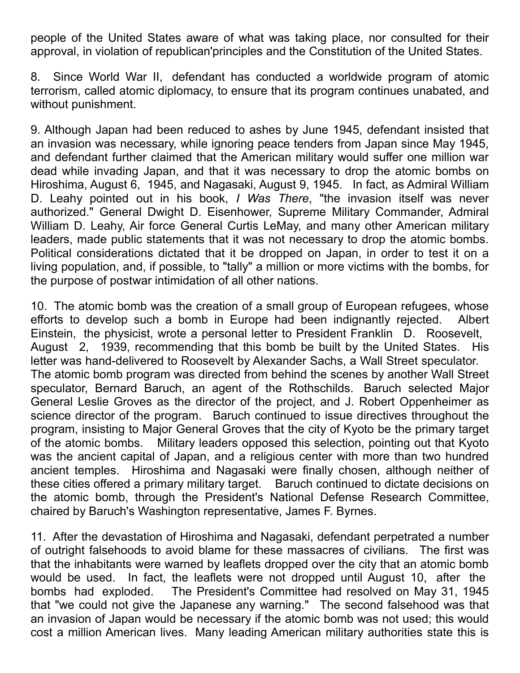people of the United States aware of what was taking place, nor consulted for their approval, in violation of republican'principles and the Constitution of the United States.

8. Since World War II, defendant has conducted a worldwide program of atomic terrorism, called atomic diplomacy, to ensure that its program continues unabated, and without punishment.

9. Although Japan had been reduced to ashes by June 1945, defendant insisted that an invasion was necessary, while ignoring peace tenders from Japan since May 1945, and defendant further claimed that the American military would suffer one million war dead while invading Japan, and that it was necessary to drop the atomic bombs on Hiroshima, August 6, 1945, and Nagasaki, August 9, 1945. In fact, as Admiral William D. Leahy pointed out in his book, *I Was There*, "the invasion itself was never authorized." General Dwight D. Eisenhower, Supreme Military Commander, Admiral William D. Leahy, Air force General Curtis LeMay, and many other American military leaders, made public statements that it was not necessary to drop the atomic bombs. Political considerations dictated that it be dropped on Japan, in order to test it on a living population, and, if possible, to "tally" a million or more victims with the bombs, for the purpose of postwar intimidation of all other nations.

10. The atomic bomb was the creation of a small group of European refugees, whose efforts to develop such a bomb in Europe had been indignantly rejected. Albert Einstein, the physicist, wrote a personal letter to President Franklin D. Roosevelt, August 2, 1939, recommending that this bomb be built by the United States. His letter was hand-delivered to Roosevelt by Alexander Sachs, a Wall Street speculator. The atomic bomb program was directed from behind the scenes by another Wall Street speculator, Bernard Baruch, an agent of the Rothschilds. Baruch selected Major General Leslie Groves as the director of the project, and J. Robert Oppenheimer as science director of the program. Baruch continued to issue directives throughout the program, insisting to Major General Groves that the city of Kyoto be the primary target of the atomic bombs. Military leaders opposed this selection, pointing out that Kyoto was the ancient capital of Japan, and a religious center with more than two hundred ancient temples. Hiroshima and Nagasaki were finally chosen, although neither of these cities offered a primary military target. Baruch continued to dictate decisions on the atomic bomb, through the President's National Defense Research Committee, chaired by Baruch's Washington representative, James F. Byrnes.

11. After the devastation of Hiroshima and Nagasaki, defendant perpetrated a number of outright falsehoods to avoid blame for these massacres of civilians. The first was that the inhabitants were warned by leaflets dropped over the city that an atomic bomb would be used. In fact, the leaflets were not dropped until August 10, after the bombs had exploded. The President's Committee had resolved on May 31, 1945 that "we could not give the Japanese any warning." The second falsehood was that an invasion of Japan would be necessary if the atomic bomb was not used; this would cost a million American lives. Many leading American military authorities state this is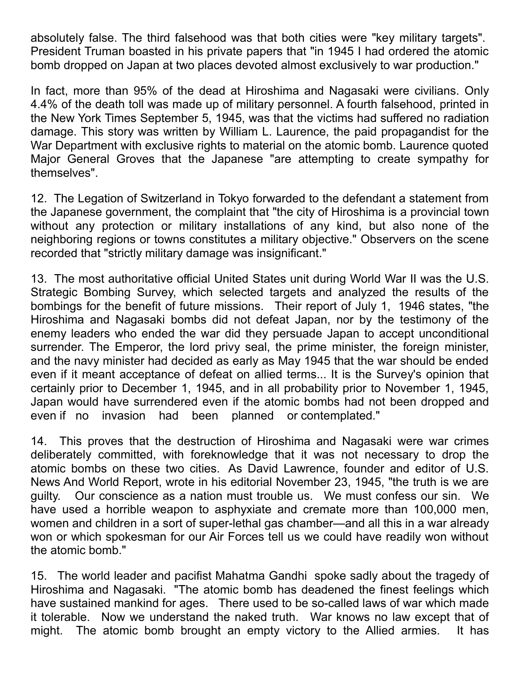absolutely false. The third falsehood was that both cities were "key military targets". President Truman boasted in his private papers that "in 1945 I had ordered the atomic bomb dropped on Japan at two places devoted almost exclusively to war production."

In fact, more than 95% of the dead at Hiroshima and Nagasaki were civilians. Only 4.4% of the death toll was made up of military personnel. A fourth falsehood, printed in the New York Times September 5, 1945, was that the victims had suffered no radiation damage. This story was written by William L. Laurence, the paid propagandist for the War Department with exclusive rights to material on the atomic bomb. Laurence quoted Major General Groves that the Japanese "are attempting to create sympathy for themselves".

12. The Legation of Switzerland in Tokyo forwarded to the defendant a statement from the Japanese government, the complaint that "the city of Hiroshima is a provincial town without any protection or military installations of any kind, but also none of the neighboring regions or towns constitutes a military objective." Observers on the scene recorded that "strictly military damage was insignificant."

13. The most authoritative official United States unit during World War II was the U.S. Strategic Bombing Survey, which selected targets and analyzed the results of the bombings for the benefit of future missions. Their report of July 1, 1946 states, "the Hiroshima and Nagasaki bombs did not defeat Japan, nor by the testimony of the enemy leaders who ended the war did they persuade Japan to accept unconditional surrender. The Emperor, the lord privy seal, the prime minister, the foreign minister, and the navy minister had decided as early as May 1945 that the war should be ended even if it meant acceptance of defeat on allied terms... It is the Survey's opinion that certainly prior to December 1, 1945, and in all probability prior to November 1, 1945, Japan would have surrendered even if the atomic bombs had not been dropped and even if no invasion had been planned or contemplated."

14. This proves that the destruction of Hiroshima and Nagasaki were war crimes deliberately committed, with foreknowledge that it was not necessary to drop the atomic bombs on these two cities. As David Lawrence, founder and editor of U.S. News And World Report, wrote in his editorial November 23, 1945, "the truth is we are guilty. Our conscience as a nation must trouble us. We must confess our sin. We have used a horrible weapon to asphyxiate and cremate more than 100,000 men, women and children in a sort of super-lethal gas chamber—and all this in a war already won or which spokesman for our Air Forces tell us we could have readily won without the atomic bomb."

15. The world leader and pacifist Mahatma Gandhi spoke sadly about the tragedy of Hiroshima and Nagasaki. "The atomic bomb has deadened the finest feelings which have sustained mankind for ages. There used to be so-called laws of war which made it tolerable. Now we understand the naked truth. War knows no law except that of might. The atomic bomb brought an empty victory to the Allied armies. It has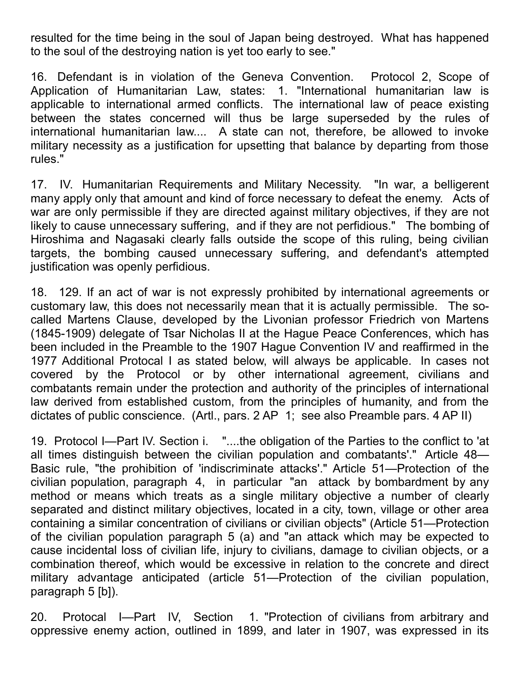resulted for the time being in the soul of Japan being destroyed. What has happened to the soul of the destroying nation is yet too early to see."

16. Defendant is in violation of the Geneva Convention. Protocol 2, Scope of Application of Humanitarian Law, states: 1. "International humanitarian law is applicable to international armed conflicts. The international law of peace existing between the states concerned will thus be large superseded by the rules of international humanitarian law.... A state can not, therefore, be allowed to invoke military necessity as a justification for upsetting that balance by departing from those rules."

17. IV. Humanitarian Requirements and Military Necessity. "In war, a belligerent many apply only that amount and kind of force necessary to defeat the enemy. Acts of war are only permissible if they are directed against military objectives, if they are not likely to cause unnecessary suffering, and if they are not perfidious." The bombing of Hiroshima and Nagasaki clearly falls outside the scope of this ruling, being civilian targets, the bombing caused unnecessary suffering, and defendant's attempted justification was openly perfidious.

18. 129. If an act of war is not expressly prohibited by international agreements or customary law, this does not necessarily mean that it is actually permissible. The socalled Martens Clause, developed by the Livonian professor Friedrich von Martens (1845-1909) delegate of Tsar Nicholas II at the Hague Peace Conferences, which has been included in the Preamble to the 1907 Hague Convention IV and reaffirmed in the 1977 Additional Protocal I as stated below, will always be applicable. In cases not covered by the Protocol or by other international agreement, civilians and combatants remain under the protection and authority of the principles of international law derived from established custom, from the principles of humanity, and from the dictates of public conscience. (Artl., pars. 2 AP 1; see also Preamble pars. 4 AP II)

19. Protocol I—Part IV. Section i. "....the obligation of the Parties to the conflict to 'at all times distinguish between the civilian population and combatants'." Article 48— Basic rule, "the prohibition of 'indiscriminate attacks'." Article 51—Protection of the civilian population, paragraph 4, in particular "an attack by bombardment by any method or means which treats as a single military objective a number of clearly separated and distinct military objectives, located in a city, town, village or other area containing a similar concentration of civilians or civilian objects" (Article 51—Protection of the civilian population paragraph 5 (a) and "an attack which may be expected to cause incidental loss of civilian life, injury to civilians, damage to civilian objects, or a combination thereof, which would be excessive in relation to the concrete and direct military advantage anticipated (article 51—Protection of the civilian population, paragraph 5 [b]).

20. Protocal I—Part IV, Section 1. "Protection of civilians from arbitrary and oppressive enemy action, outlined in 1899, and later in 1907, was expressed in its